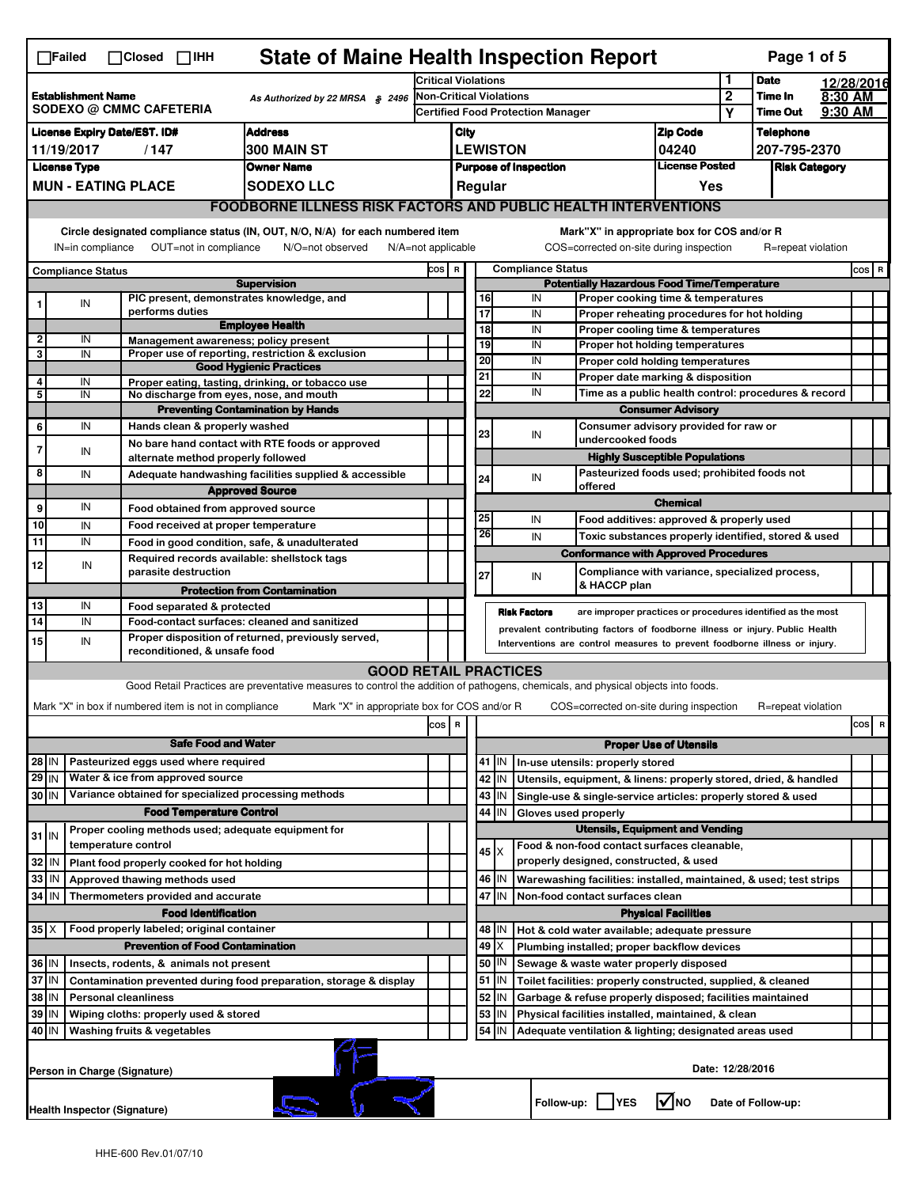|                                                                                                | <b>State of Maine Health Inspection Report</b><br>Page 1 of 5<br>$\Box$ Failed<br>$\Box$ Closed $\Box$ IHH                                              |                              |                                                                                                                                                                                    |                                                                                                                                                                   |       |                  |                          |                                                    |                            |                                                                                               |                               |                      |                    |  |           |
|------------------------------------------------------------------------------------------------|---------------------------------------------------------------------------------------------------------------------------------------------------------|------------------------------|------------------------------------------------------------------------------------------------------------------------------------------------------------------------------------|-------------------------------------------------------------------------------------------------------------------------------------------------------------------|-------|------------------|--------------------------|----------------------------------------------------|----------------------------|-----------------------------------------------------------------------------------------------|-------------------------------|----------------------|--------------------|--|-----------|
|                                                                                                |                                                                                                                                                         |                              | <b>Critical Violations</b>                                                                                                                                                         |                                                                                                                                                                   |       | 1<br><b>Date</b> |                          |                                                    | 12/28/2016                 |                                                                                               |                               |                      |                    |  |           |
| <b>Establishment Name</b><br>As Authorized by 22 MRSA § 2496<br><b>SODEXO @ CMMC CAFETERIA</b> |                                                                                                                                                         |                              | <b>Non-Critical Violations</b><br><b>Certified Food Protection Manager</b>                                                                                                         |                                                                                                                                                                   |       |                  |                          | $\mathbf{2}$<br>Y                                  | Time In<br><b>Time Out</b> | 8:30 AM<br>9:30 AM                                                                            |                               |                      |                    |  |           |
|                                                                                                | <b>Address</b><br><b>License Expiry Date/EST. ID#</b>                                                                                                   |                              |                                                                                                                                                                                    |                                                                                                                                                                   | City  |                  |                          |                                                    | <b>Zip Code</b>            |                                                                                               | <b>Telephone</b>              |                      |                    |  |           |
|                                                                                                | 300 MAIN ST<br>11/19/2017<br>/147                                                                                                                       |                              |                                                                                                                                                                                    |                                                                                                                                                                   |       |                  |                          | <b>LEWISTON</b>                                    |                            | 04240                                                                                         |                               | 207-795-2370         |                    |  |           |
|                                                                                                | <b>Owner Name</b><br><b>License Type</b>                                                                                                                |                              |                                                                                                                                                                                    |                                                                                                                                                                   |       |                  |                          | <b>Purpose of Inspection</b>                       |                            | <b>License Posted</b>                                                                         |                               | <b>Risk Category</b> |                    |  |           |
|                                                                                                |                                                                                                                                                         | <b>MUN - EATING PLACE</b>    |                                                                                                                                                                                    | <b>SODEXO LLC</b>                                                                                                                                                 |       |                  |                          | Regular                                            |                            |                                                                                               | Yes                           |                      |                    |  |           |
|                                                                                                |                                                                                                                                                         |                              |                                                                                                                                                                                    | <b>FOODBORNE ILLNESS RISK FACTORS AND PUBLIC HEALTH INTERVENTIONS</b>                                                                                             |       |                  |                          |                                                    |                            |                                                                                               |                               |                      |                    |  |           |
|                                                                                                | Circle designated compliance status (IN, OUT, N/O, N/A) for each numbered item<br>Mark"X" in appropriate box for COS and/or R<br>$N/A = not$ applicable |                              |                                                                                                                                                                                    |                                                                                                                                                                   |       |                  |                          |                                                    |                            |                                                                                               |                               |                      |                    |  |           |
|                                                                                                | IN=in compliance                                                                                                                                        |                              | OUT=not in compliance                                                                                                                                                              | N/O=not observed                                                                                                                                                  |       |                  |                          |                                                    |                            | COS=corrected on-site during inspection                                                       |                               |                      | R=repeat violation |  |           |
| <b>Compliance Status</b><br><b>Supervision</b>                                                 |                                                                                                                                                         |                              | COS R                                                                                                                                                                              |                                                                                                                                                                   |       |                  | <b>Compliance Status</b> | <b>Potentially Hazardous Food Time/Temperature</b> |                            |                                                                                               |                               |                      | $cos$ R            |  |           |
|                                                                                                | IN                                                                                                                                                      |                              |                                                                                                                                                                                    | PIC present, demonstrates knowledge, and                                                                                                                          |       |                  |                          | 16                                                 | IN                         | Proper cooking time & temperatures                                                            |                               |                      |                    |  |           |
|                                                                                                |                                                                                                                                                         |                              | performs duties                                                                                                                                                                    | <b>Employee Health</b>                                                                                                                                            |       |                  |                          | 17                                                 | IN                         | Proper reheating procedures for hot holding                                                   |                               |                      |                    |  |           |
| $\mathbf{2}$                                                                                   | IN                                                                                                                                                      |                              |                                                                                                                                                                                    | Management awareness; policy present                                                                                                                              |       |                  |                          | 18<br>19                                           | IN<br>IN                   | Proper cooling time & temperatures<br>Proper hot holding temperatures                         |                               |                      |                    |  |           |
| 3                                                                                              | IN                                                                                                                                                      |                              |                                                                                                                                                                                    | Proper use of reporting, restriction & exclusion                                                                                                                  |       |                  |                          | 20                                                 | IN                         | Proper cold holding temperatures                                                              |                               |                      |                    |  |           |
| 4                                                                                              | IN                                                                                                                                                      |                              |                                                                                                                                                                                    | <b>Good Hygienic Practices</b><br>Proper eating, tasting, drinking, or tobacco use                                                                                |       |                  |                          | 21                                                 | IN                         | Proper date marking & disposition                                                             |                               |                      |                    |  |           |
| 5                                                                                              | IN                                                                                                                                                      |                              |                                                                                                                                                                                    | No discharge from eyes, nose, and mouth                                                                                                                           |       |                  |                          | 22                                                 | IN                         | Time as a public health control: procedures & record                                          |                               |                      |                    |  |           |
|                                                                                                |                                                                                                                                                         |                              |                                                                                                                                                                                    | <b>Preventing Contamination by Hands</b>                                                                                                                          |       |                  |                          |                                                    |                            | <b>Consumer Advisory</b>                                                                      |                               |                      |                    |  |           |
| 6                                                                                              | IN                                                                                                                                                      |                              | Hands clean & properly washed                                                                                                                                                      |                                                                                                                                                                   |       |                  |                          | 23                                                 | IN                         | Consumer advisory provided for raw or<br>undercooked foods                                    |                               |                      |                    |  |           |
|                                                                                                | IN                                                                                                                                                      |                              | alternate method properly followed                                                                                                                                                 | No bare hand contact with RTE foods or approved                                                                                                                   |       |                  |                          |                                                    |                            | <b>Highly Susceptible Populations</b>                                                         |                               |                      |                    |  |           |
| 8                                                                                              | IN                                                                                                                                                      |                              |                                                                                                                                                                                    | Adequate handwashing facilities supplied & accessible                                                                                                             |       |                  |                          |                                                    |                            | Pasteurized foods used; prohibited foods not                                                  |                               |                      |                    |  |           |
|                                                                                                |                                                                                                                                                         |                              |                                                                                                                                                                                    | <b>Approved Source</b>                                                                                                                                            |       |                  |                          | 24                                                 | IN                         | offered                                                                                       |                               |                      |                    |  |           |
| 9                                                                                              | IN                                                                                                                                                      |                              | Food obtained from approved source                                                                                                                                                 |                                                                                                                                                                   |       |                  |                          |                                                    |                            |                                                                                               | <b>Chemical</b>               |                      |                    |  |           |
| 10                                                                                             | IN                                                                                                                                                      |                              | Food received at proper temperature                                                                                                                                                |                                                                                                                                                                   |       |                  |                          | 25<br>26                                           | IN                         | Food additives: approved & properly used                                                      |                               |                      |                    |  |           |
| 11                                                                                             | IN                                                                                                                                                      |                              |                                                                                                                                                                                    | Food in good condition, safe, & unadulterated                                                                                                                     |       |                  |                          |                                                    | IN                         | Toxic substances properly identified, stored & used                                           |                               |                      |                    |  |           |
| 12                                                                                             | IN                                                                                                                                                      |                              | parasite destruction                                                                                                                                                               | Required records available: shellstock tags                                                                                                                       |       |                  |                          | 27                                                 | IN                         | <b>Conformance with Approved Procedures</b><br>Compliance with variance, specialized process, |                               |                      |                    |  |           |
|                                                                                                |                                                                                                                                                         |                              |                                                                                                                                                                                    | <b>Protection from Contamination</b>                                                                                                                              |       |                  |                          |                                                    |                            | & HACCP plan                                                                                  |                               |                      |                    |  |           |
| 13                                                                                             | IN                                                                                                                                                      |                              | Food separated & protected                                                                                                                                                         |                                                                                                                                                                   |       |                  |                          |                                                    | <b>Risk Factors</b>        | are improper practices or procedures identified as the most                                   |                               |                      |                    |  |           |
| 14                                                                                             | IN                                                                                                                                                      |                              | Food-contact surfaces: cleaned and sanitized<br>prevalent contributing factors of foodborne illness or injury. Public Health<br>Proper disposition of returned, previously served, |                                                                                                                                                                   |       |                  |                          |                                                    |                            |                                                                                               |                               |                      |                    |  |           |
| 15                                                                                             | IN                                                                                                                                                      |                              | reconditioned, & unsafe food                                                                                                                                                       |                                                                                                                                                                   |       |                  |                          |                                                    |                            | Interventions are control measures to prevent foodborne illness or injury.                    |                               |                      |                    |  |           |
|                                                                                                |                                                                                                                                                         |                              |                                                                                                                                                                                    | <b>GOOD RETAIL PRACTICES</b><br>Good Retail Practices are preventative measures to control the addition of pathogens, chemicals, and physical objects into foods. |       |                  |                          |                                                    |                            |                                                                                               |                               |                      |                    |  |           |
|                                                                                                |                                                                                                                                                         |                              | Mark "X" in box if numbered item is not in compliance                                                                                                                              | Mark "X" in appropriate box for COS and/or R                                                                                                                      |       |                  |                          |                                                    |                            | COS=corrected on-site during inspection                                                       |                               |                      | R=repeat violation |  |           |
|                                                                                                |                                                                                                                                                         |                              |                                                                                                                                                                                    |                                                                                                                                                                   | COS R |                  |                          |                                                    |                            |                                                                                               |                               |                      |                    |  | cosl<br>R |
|                                                                                                |                                                                                                                                                         |                              | <b>Safe Food and Water</b>                                                                                                                                                         |                                                                                                                                                                   |       |                  |                          |                                                    |                            |                                                                                               | <b>Proper Use of Utensils</b> |                      |                    |  |           |
| $28$ IN                                                                                        |                                                                                                                                                         |                              | Pasteurized eggs used where required                                                                                                                                               |                                                                                                                                                                   |       |                  |                          | 41   IN                                            |                            | In-use utensils: properly stored                                                              |                               |                      |                    |  |           |
| $29$ IN                                                                                        |                                                                                                                                                         |                              | Water & ice from approved source                                                                                                                                                   |                                                                                                                                                                   |       |                  |                          | 42<br>IN                                           |                            | Utensils, equipment, & linens: properly stored, dried, & handled                              |                               |                      |                    |  |           |
| 30 IN                                                                                          |                                                                                                                                                         |                              |                                                                                                                                                                                    | Variance obtained for specialized processing methods                                                                                                              |       |                  |                          | 43                                                 | IN                         | Single-use & single-service articles: properly stored & used                                  |                               |                      |                    |  |           |
|                                                                                                |                                                                                                                                                         |                              | <b>Food Temperature Control</b>                                                                                                                                                    |                                                                                                                                                                   |       |                  |                          | 44                                                 | IN                         | Gloves used properly                                                                          |                               |                      |                    |  |           |
| $31$ IN                                                                                        |                                                                                                                                                         |                              |                                                                                                                                                                                    | Proper cooling methods used; adequate equipment for                                                                                                               |       |                  |                          |                                                    |                            | <b>Utensils, Equipment and Vending</b>                                                        |                               |                      |                    |  |           |
|                                                                                                |                                                                                                                                                         | temperature control          |                                                                                                                                                                                    |                                                                                                                                                                   |       |                  |                          | 45   X                                             |                            | Food & non-food contact surfaces cleanable,                                                   |                               |                      |                    |  |           |
| 32                                                                                             | IN                                                                                                                                                      |                              | Plant food properly cooked for hot holding                                                                                                                                         |                                                                                                                                                                   |       |                  |                          |                                                    |                            | properly designed, constructed, & used                                                        |                               |                      |                    |  |           |
| 33                                                                                             | IN                                                                                                                                                      |                              | Approved thawing methods used                                                                                                                                                      |                                                                                                                                                                   |       |                  |                          | 46<br>IN                                           |                            | Warewashing facilities: installed, maintained, & used; test strips                            |                               |                      |                    |  |           |
| 34 IN                                                                                          |                                                                                                                                                         |                              | Thermometers provided and accurate                                                                                                                                                 |                                                                                                                                                                   |       |                  |                          | 47 IN                                              |                            | Non-food contact surfaces clean                                                               |                               |                      |                    |  |           |
|                                                                                                |                                                                                                                                                         |                              | <b>Food Identification</b>                                                                                                                                                         |                                                                                                                                                                   |       |                  |                          | 48   IN                                            |                            | Hot & cold water available; adequate pressure                                                 | <b>Physical Facilities</b>    |                      |                    |  |           |
|                                                                                                | Food properly labeled; original container<br>$35$ $\times$<br><b>Prevention of Food Contamination</b>                                                   |                              |                                                                                                                                                                                    |                                                                                                                                                                   |       |                  |                          | 49<br>X.                                           |                            | Plumbing installed; proper backflow devices                                                   |                               |                      |                    |  |           |
| 36 IN                                                                                          |                                                                                                                                                         |                              | Insects, rodents, & animals not present                                                                                                                                            |                                                                                                                                                                   |       |                  |                          | 50   IN                                            |                            | Sewage & waste water properly disposed                                                        |                               |                      |                    |  |           |
| 37 IN                                                                                          |                                                                                                                                                         |                              |                                                                                                                                                                                    | Contamination prevented during food preparation, storage & display                                                                                                |       |                  |                          | $51$ M                                             |                            | Toilet facilities: properly constructed, supplied, & cleaned                                  |                               |                      |                    |  |           |
|                                                                                                | 38 IN<br><b>Personal cleanliness</b>                                                                                                                    |                              |                                                                                                                                                                                    |                                                                                                                                                                   |       |                  |                          | 52                                                 | IN                         | Garbage & refuse properly disposed; facilities maintained                                     |                               |                      |                    |  |           |
| 39 IN                                                                                          |                                                                                                                                                         |                              | Wiping cloths: properly used & stored                                                                                                                                              |                                                                                                                                                                   |       |                  |                          | 53                                                 | IN                         | Physical facilities installed, maintained, & clean                                            |                               |                      |                    |  |           |
| 40 IN                                                                                          |                                                                                                                                                         | Washing fruits & vegetables  |                                                                                                                                                                                    |                                                                                                                                                                   |       |                  |                          | 54<br>IN                                           |                            | Adequate ventilation & lighting; designated areas used                                        |                               |                      |                    |  |           |
|                                                                                                | Date: 12/28/2016<br>Person in Charge (Signature)                                                                                                        |                              |                                                                                                                                                                                    |                                                                                                                                                                   |       |                  |                          |                                                    |                            |                                                                                               |                               |                      |                    |  |           |
|                                                                                                |                                                                                                                                                         | Health Inspector (Signature) |                                                                                                                                                                                    |                                                                                                                                                                   |       |                  |                          |                                                    |                            | Follow-up:     YES                                                                            | l√lno                         |                      | Date of Follow-up: |  |           |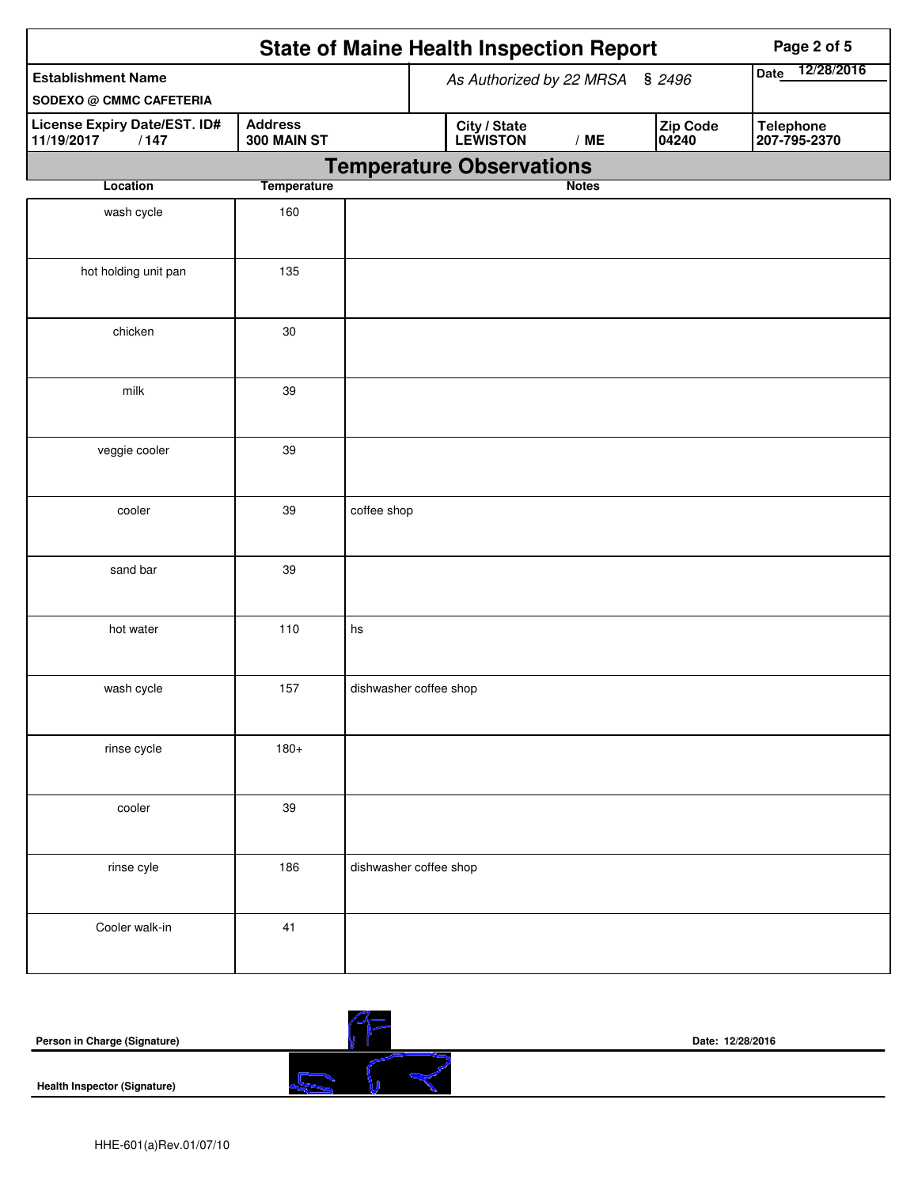|                                                             |                               | <b>State of Maine Health Inspection Report</b>       | Page 2 of 5                      |  |  |
|-------------------------------------------------------------|-------------------------------|------------------------------------------------------|----------------------------------|--|--|
| <b>Establishment Name</b><br><b>SODEXO @ CMMC CAFETERIA</b> |                               | As Authorized by 22 MRSA § 2496                      | 12/28/2016<br>Date               |  |  |
| License Expiry Date/EST. ID#<br>11/19/2017<br>/147          | <b>Address</b><br>300 MAIN ST | Zip Code<br>City / State<br>LEWISTON<br>/ME<br>04240 | <b>Telephone</b><br>207-795-2370 |  |  |
|                                                             |                               | <b>Temperature Observations</b>                      |                                  |  |  |
| Location                                                    | <b>Temperature</b>            | <b>Notes</b>                                         |                                  |  |  |
| wash cycle                                                  | 160                           |                                                      |                                  |  |  |
| hot holding unit pan                                        | 135                           |                                                      |                                  |  |  |
| chicken                                                     | $30\,$                        |                                                      |                                  |  |  |
| milk                                                        | 39                            |                                                      |                                  |  |  |
| veggie cooler                                               | 39                            |                                                      |                                  |  |  |
| cooler                                                      | 39                            | coffee shop                                          |                                  |  |  |
| sand bar                                                    | 39                            |                                                      |                                  |  |  |
| hot water                                                   | 110                           | hs                                                   |                                  |  |  |
| wash cycle                                                  | 157                           | dishwasher coffee shop                               |                                  |  |  |
| rinse cycle                                                 | $180+$                        |                                                      |                                  |  |  |
| cooler                                                      | 39                            |                                                      |                                  |  |  |
| rinse cyle                                                  | 186                           | dishwasher coffee shop                               |                                  |  |  |
| Cooler walk-in                                              | 41                            |                                                      |                                  |  |  |

| Person in Charge (Signature)        | Date: 12/28/2016 |  |  |  |
|-------------------------------------|------------------|--|--|--|
| <b>Health Inspector (Signature)</b> |                  |  |  |  |

 $\overline{\phantom{a}}$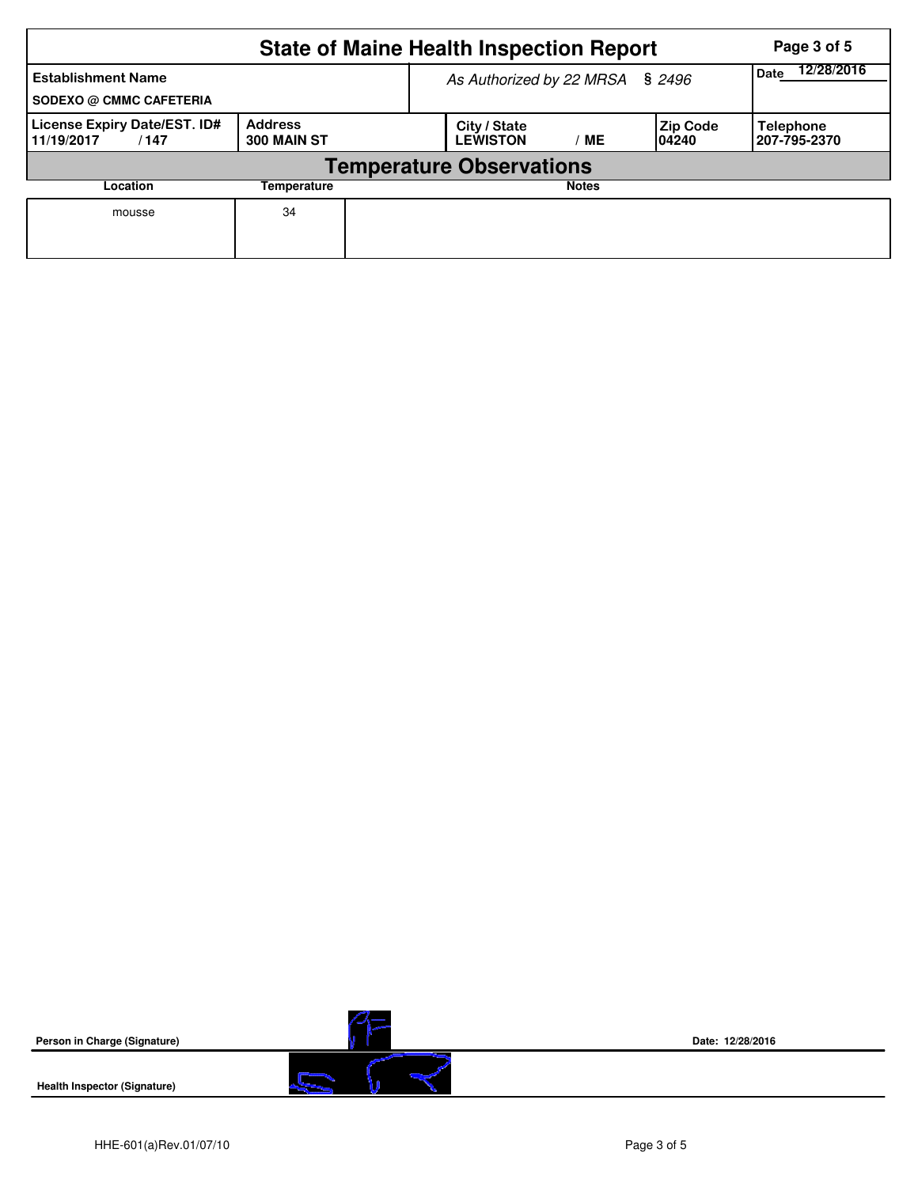|                                                             | Page 3 of 5                     |                                 |                                       |              |                           |                                  |  |  |  |
|-------------------------------------------------------------|---------------------------------|---------------------------------|---------------------------------------|--------------|---------------------------|----------------------------------|--|--|--|
| <b>Establishment Name</b><br><b>SODEXO @ CMMC CAFETERIA</b> |                                 | As Authorized by 22 MRSA § 2496 | 12/28/2016<br><b>Date</b>             |              |                           |                                  |  |  |  |
| License Expiry Date/EST. ID#<br>11/19/2017<br>/147          | <b>Address</b><br>300 MAIN ST   |                                 | City / State<br><b>LEWISTON</b><br>MЕ |              | <b>Zip Code</b><br>104240 | <b>Telephone</b><br>207-795-2370 |  |  |  |
|                                                             | <b>Temperature Observations</b> |                                 |                                       |              |                           |                                  |  |  |  |
| Location                                                    | Temperature                     |                                 |                                       | <b>Notes</b> |                           |                                  |  |  |  |
| mousse                                                      | 34                              |                                 |                                       |              |                           |                                  |  |  |  |

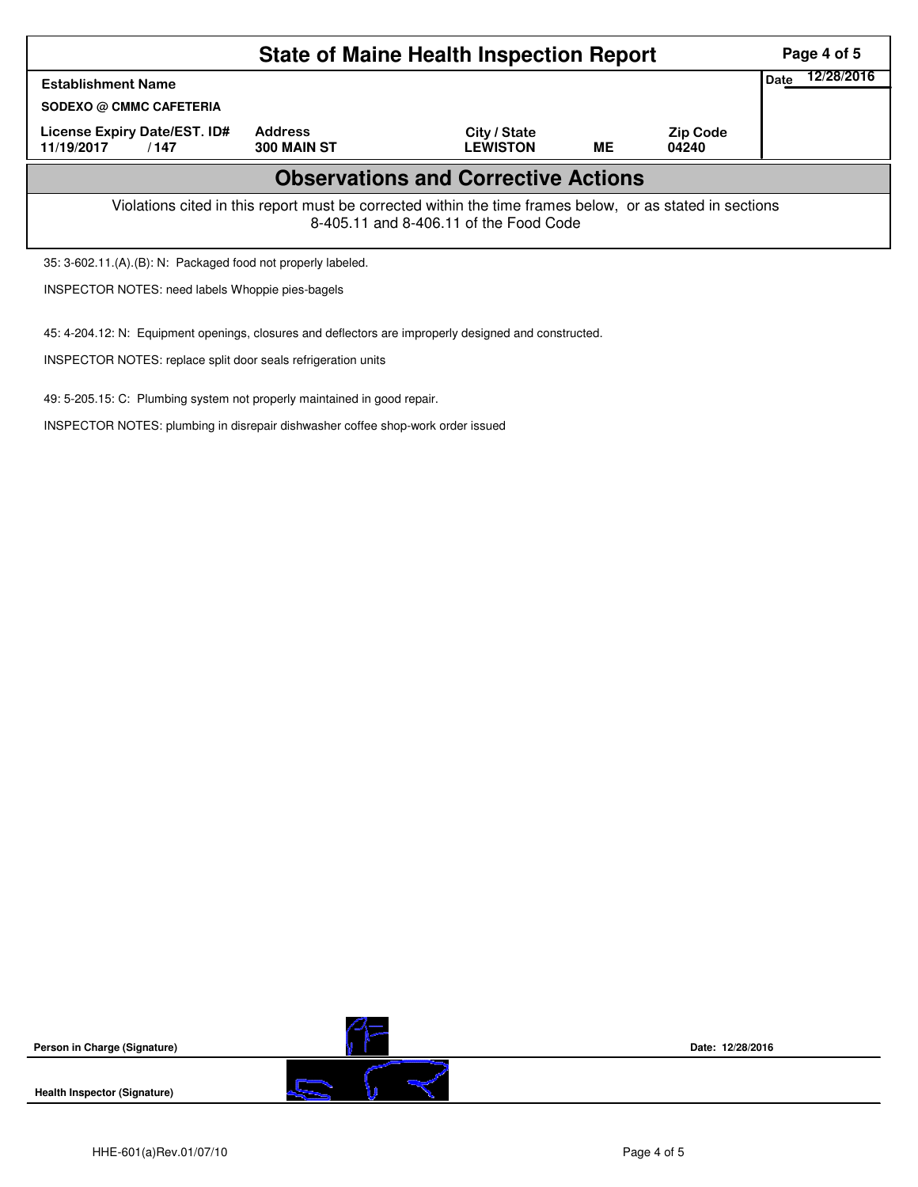|                                                                                                                                                    |                               | Page 4 of 5                     |    |                          |  |  |  |  |  |
|----------------------------------------------------------------------------------------------------------------------------------------------------|-------------------------------|---------------------------------|----|--------------------------|--|--|--|--|--|
| <b>Establishment Name</b>                                                                                                                          | Date                          | 12/28/2016                      |    |                          |  |  |  |  |  |
| <b>SODEXO @ CMMC CAFETERIA</b>                                                                                                                     |                               |                                 |    |                          |  |  |  |  |  |
| <b>License Expiry Date/EST. ID#</b><br>11/19/2017<br>/147                                                                                          | <b>Address</b><br>300 MAIN ST | City / State<br><b>LEWISTON</b> | ME | <b>Zip Code</b><br>04240 |  |  |  |  |  |
| <b>Observations and Corrective Actions</b>                                                                                                         |                               |                                 |    |                          |  |  |  |  |  |
| Violations cited in this report must be corrected within the time frames below, or as stated in sections<br>8-405.11 and 8-406.11 of the Food Code |                               |                                 |    |                          |  |  |  |  |  |
| 35: 3-602.11.(A).(B): N: Packaged food not properly labeled.                                                                                       |                               |                                 |    |                          |  |  |  |  |  |
| <b>INSPECTOR NOTES: need labels Whoppie pies-bagels</b>                                                                                            |                               |                                 |    |                          |  |  |  |  |  |

45: 4-204.12: N: Equipment openings, closures and deflectors are improperly designed and constructed.

INSPECTOR NOTES: replace split door seals refrigeration units

49: 5-205.15: C: Plumbing system not properly maintained in good repair.

INSPECTOR NOTES: plumbing in disrepair dishwasher coffee shop-work order issued